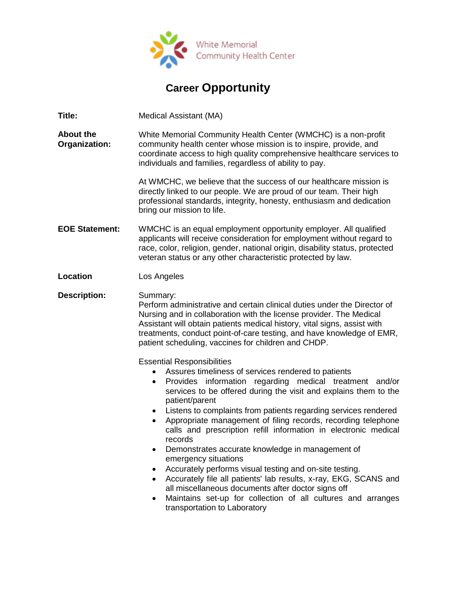

## **Career Opportunity**

**Title:** Medical Assistant (MA)

**About the Organization:** White Memorial Community Health Center (WMCHC) is a non-profit community health center whose mission is to inspire, provide, and coordinate access to high quality comprehensive healthcare services to individuals and families, regardless of ability to pay.

> At WMCHC, we believe that the success of our healthcare mission is directly linked to our people. We are proud of our team. Their high professional standards, integrity, honesty, enthusiasm and dedication bring our mission to life.

- **EOE Statement:** WMCHC is an equal employment opportunity employer. All qualified applicants will receive consideration for employment without regard to race, color, religion, gender, national origin, disability status, protected veteran status or any other characteristic protected by law.
- **Location** Los Angeles

**Description:** Summary: Perform administrative and certain clinical duties under the Director of Nursing and in collaboration with the license provider. The Medical Assistant will obtain patients medical history, vital signs, assist with treatments, conduct point-of-care testing, and have knowledge of EMR, patient scheduling, vaccines for children and CHDP.

Essential Responsibilities

- Assures timeliness of services rendered to patients
- Provides information regarding medical treatment and/or services to be offered during the visit and explains them to the patient/parent
- Listens to complaints from patients regarding services rendered
- Appropriate management of filing records, recording telephone calls and prescription refill information in electronic medical records
- Demonstrates accurate knowledge in management of emergency situations
- Accurately performs visual testing and on-site testing.
- Accurately file all patients' lab results, x-ray, EKG, SCANS and all miscellaneous documents after doctor signs off
- Maintains set-up for collection of all cultures and arranges transportation to Laboratory